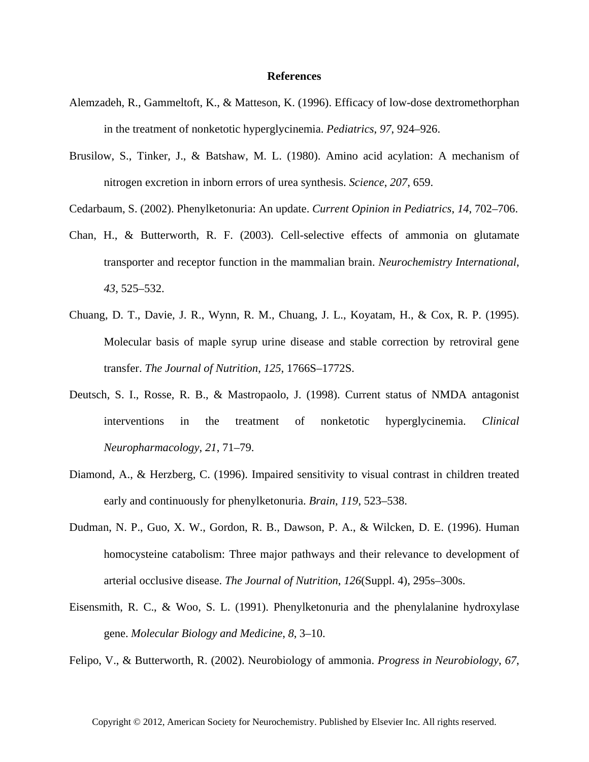## **References**

- Alemzadeh, R., Gammeltoft, K., & Matteson, K. (1996). Efficacy of low-dose dextromethorphan in the treatment of nonketotic hyperglycinemia. *Pediatrics*, *97*, 924–926.
- Brusilow, S., Tinker, J., & Batshaw, M. L. (1980). Amino acid acylation: A mechanism of nitrogen excretion in inborn errors of urea synthesis. *Science*, *207*, 659.
- Cedarbaum, S. (2002). Phenylketonuria: An update. *Current Opinion in Pediatrics*, *14*, 702–706.
- Chan, H., & Butterworth, R. F. (2003). Cell-selective effects of ammonia on glutamate transporter and receptor function in the mammalian brain. *Neurochemistry International*, *43*, 525–532.
- Chuang, D. T., Davie, J. R., Wynn, R. M., Chuang, J. L., Koyatam, H., & Cox, R. P. (1995). Molecular basis of maple syrup urine disease and stable correction by retroviral gene transfer. *The Journal of Nutrition*, *125*, 1766S–1772S.
- Deutsch, S. I., Rosse, R. B., & Mastropaolo, J. (1998). Current status of NMDA antagonist interventions in the treatment of nonketotic hyperglycinemia. *Clinical Neuropharmacology*, *21*, 71–79.
- Diamond, A., & Herzberg, C. (1996). Impaired sensitivity to visual contrast in children treated early and continuously for phenylketonuria. *Brain*, *119*, 523–538.
- Dudman, N. P., Guo, X. W., Gordon, R. B., Dawson, P. A., & Wilcken, D. E. (1996). Human homocysteine catabolism: Three major pathways and their relevance to development of arterial occlusive disease. *The Journal of Nutrition*, *126*(Suppl. 4), 295s–300s.
- Eisensmith, R. C., & Woo, S. L. (1991). Phenylketonuria and the phenylalanine hydroxylase gene. *Molecular Biology and Medicine*, *8*, 3–10.
- Felipo, V., & Butterworth, R. (2002). Neurobiology of ammonia. *Progress in Neurobiology*, *67*,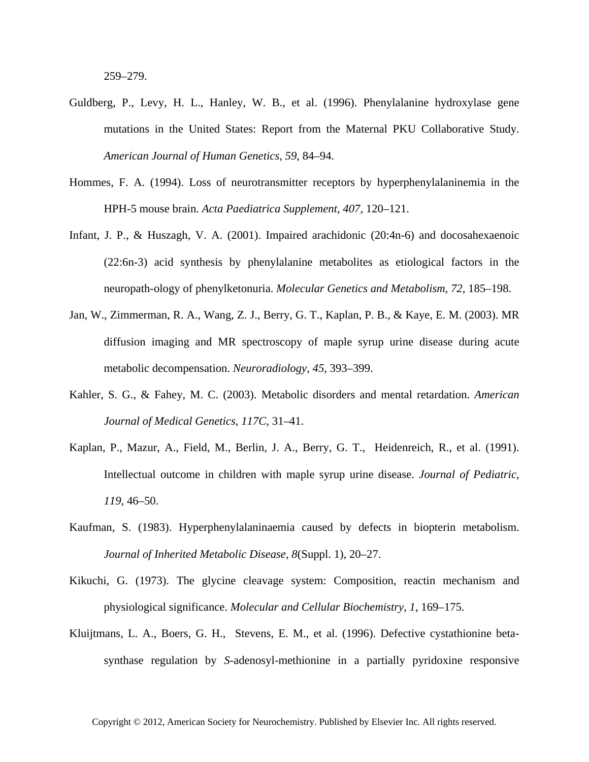259–279.

- Guldberg, P., Levy, H. L., Hanley, W. B., et al. (1996). Phenylalanine hydroxylase gene mutations in the United States: Report from the Maternal PKU Collaborative Study. *American Journal of Human Genetics*, *59*, 84–94.
- Hommes, F. A. (1994). Loss of neurotransmitter receptors by hyperphenylalaninemia in the HPH-5 mouse brain. *Acta Paediatrica Supplement*, *407*, 120–121.
- Infant, J. P., & Huszagh, V. A. (2001). Impaired arachidonic (20:4n-6) and docosahexaenoic (22:6n-3) acid synthesis by phenylalanine metabolites as etiological factors in the neuropath-ology of phenylketonuria. *Molecular Genetics and Metabolism*, *72*, 185–198.
- Jan, W., Zimmerman, R. A., Wang, Z. J., Berry, G. T., Kaplan, P. B., & Kaye, E. M. (2003). MR diffusion imaging and MR spectroscopy of maple syrup urine disease during acute metabolic decompensation. *Neuroradiology*, *45*, 393–399.
- Kahler, S. G., & Fahey, M. C. (2003). Metabolic disorders and mental retardation. *American Journal of Medical Genetics*, *117C*, 31–41.
- Kaplan, P., Mazur, A., Field, M., Berlin, J. A., Berry, G. T., Heidenreich, R., et al. (1991). Intellectual outcome in children with maple syrup urine disease. *Journal of Pediatric*, *119*, 46–50.
- Kaufman, S. (1983). Hyperphenylalaninaemia caused by defects in biopterin metabolism. *Journal of Inherited Metabolic Disease*, *8*(Suppl. 1), 20–27.
- Kikuchi, G. (1973). The glycine cleavage system: Composition, reactin mechanism and physiological significance. *Molecular and Cellular Biochemistry*, *1*, 169–175.
- Kluijtmans, L. A., Boers, G. H., Stevens, E. M., et al. (1996). Defective cystathionine betasynthase regulation by *S*-adenosyl-methionine in a partially pyridoxine responsive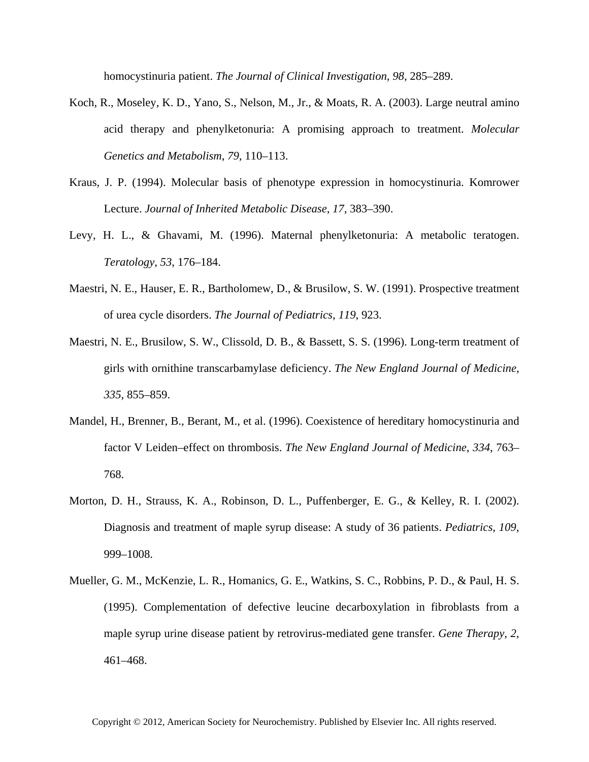homocystinuria patient. *The Journal of Clinical Investigation*, *98*, 285–289.

- Koch, R., Moseley, K. D., Yano, S., Nelson, M., Jr., & Moats, R. A. (2003). Large neutral amino acid therapy and phenylketonuria: A promising approach to treatment. *Molecular Genetics and Metabolism*, *79*, 110–113.
- Kraus, J. P. (1994). Molecular basis of phenotype expression in homocystinuria. Komrower Lecture. *Journal of Inherited Metabolic Disease*, *17*, 383–390.
- Levy, H. L., & Ghavami, M. (1996). Maternal phenylketonuria: A metabolic teratogen. *Teratology*, *53*, 176–184.
- Maestri, N. E., Hauser, E. R., Bartholomew, D., & Brusilow, S. W. (1991). Prospective treatment of urea cycle disorders. *The Journal of Pediatrics*, *119*, 923.
- Maestri, N. E., Brusilow, S. W., Clissold, D. B., & Bassett, S. S. (1996). Long-term treatment of girls with ornithine transcarbamylase deficiency. *The New England Journal of Medicine*, *335*, 855–859.
- Mandel, H., Brenner, B., Berant, M., et al. (1996). Coexistence of hereditary homocystinuria and factor V Leiden–effect on thrombosis. *The New England Journal of Medicine*, *334*, 763– 768.
- Morton, D. H., Strauss, K. A., Robinson, D. L., Puffenberger, E. G., & Kelley, R. I. (2002). Diagnosis and treatment of maple syrup disease: A study of 36 patients. *Pediatrics*, *109*, 999–1008.
- Mueller, G. M., McKenzie, L. R., Homanics, G. E., Watkins, S. C., Robbins, P. D., & Paul, H. S. (1995). Complementation of defective leucine decarboxylation in fibroblasts from a maple syrup urine disease patient by retrovirus-mediated gene transfer. *Gene Therapy*, *2*, 461–468.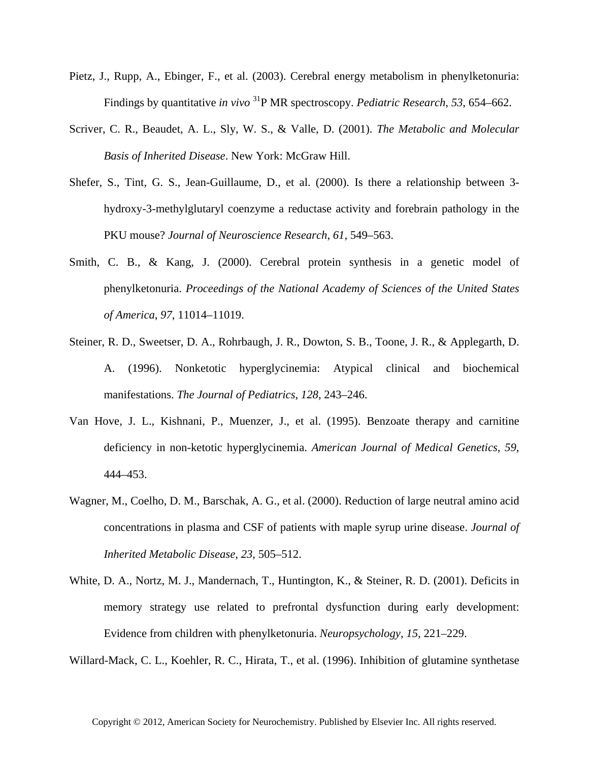- Pietz, J., Rupp, A., Ebinger, F., et al. (2003). Cerebral energy metabolism in phenylketonuria: Findings by quantitative *in vivo* 31P MR spectroscopy. *Pediatric Research*, *53*, 654–662.
- Scriver, C. R., Beaudet, A. L., Sly, W. S., & Valle, D. (2001). *The Metabolic and Molecular Basis of Inherited Disease*. New York: McGraw Hill.
- Shefer, S., Tint, G. S., Jean-Guillaume, D., et al. (2000). Is there a relationship between 3 hydroxy-3-methylglutaryl coenzyme a reductase activity and forebrain pathology in the PKU mouse? *Journal of Neuroscience Research*, *61*, 549–563.
- Smith, C. B., & Kang, J. (2000). Cerebral protein synthesis in a genetic model of phenylketonuria. *Proceedings of the National Academy of Sciences of the United States of America*, *97*, 11014–11019.
- Steiner, R. D., Sweetser, D. A., Rohrbaugh, J. R., Dowton, S. B., Toone, J. R., & Applegarth, D. A. (1996). Nonketotic hyperglycinemia: Atypical clinical and biochemical manifestations. *The Journal of Pediatrics*, *128*, 243–246.
- Van Hove, J. L., Kishnani, P., Muenzer, J., et al. (1995). Benzoate therapy and carnitine deficiency in non-ketotic hyperglycinemia. *American Journal of Medical Genetics*, *59*, 444–453.
- Wagner, M., Coelho, D. M., Barschak, A. G., et al. (2000). Reduction of large neutral amino acid concentrations in plasma and CSF of patients with maple syrup urine disease. *Journal of Inherited Metabolic Disease*, *23*, 505–512.
- White, D. A., Nortz, M. J., Mandernach, T., Huntington, K., & Steiner, R. D. (2001). Deficits in memory strategy use related to prefrontal dysfunction during early development: Evidence from children with phenylketonuria. *Neuropsychology*, *15*, 221–229.

Willard-Mack, C. L., Koehler, R. C., Hirata, T., et al. (1996). Inhibition of glutamine synthetase